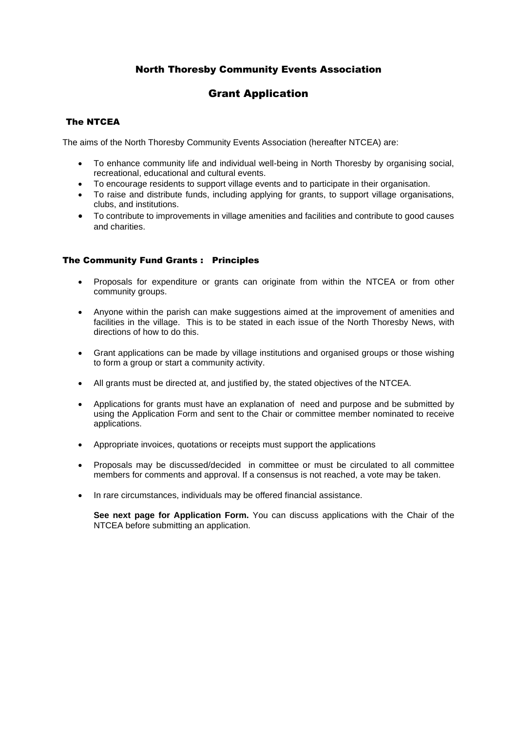## North Thoresby Community Events Association

# Grant Application

#### The NTCEA

The aims of the North Thoresby Community Events Association (hereafter NTCEA) are:

- To enhance community life and individual well-being in North Thoresby by organising social, recreational, educational and cultural events.
- To encourage residents to support village events and to participate in their organisation.
- To raise and distribute funds, including applying for grants, to support village organisations, clubs, and institutions.
- To contribute to improvements in village amenities and facilities and contribute to good causes and charities.

#### The Community Fund Grants : Principles

- Proposals for expenditure or grants can originate from within the NTCEA or from other community groups.
- Anyone within the parish can make suggestions aimed at the improvement of amenities and facilities in the village. This is to be stated in each issue of the North Thoresby News, with directions of how to do this.
- Grant applications can be made by village institutions and organised groups or those wishing to form a group or start a community activity.
- All grants must be directed at, and justified by, the stated objectives of the NTCEA.
- Applications for grants must have an explanation of need and purpose and be submitted by using the Application Form and sent to the Chair or committee member nominated to receive applications.
- Appropriate invoices, quotations or receipts must support the applications
- Proposals may be discussed/decided in committee or must be circulated to all committee members for comments and approval. If a consensus is not reached, a vote may be taken.
- In rare circumstances, individuals may be offered financial assistance.

**See next page for Application Form.** You can discuss applications with the Chair of the NTCEA before submitting an application.